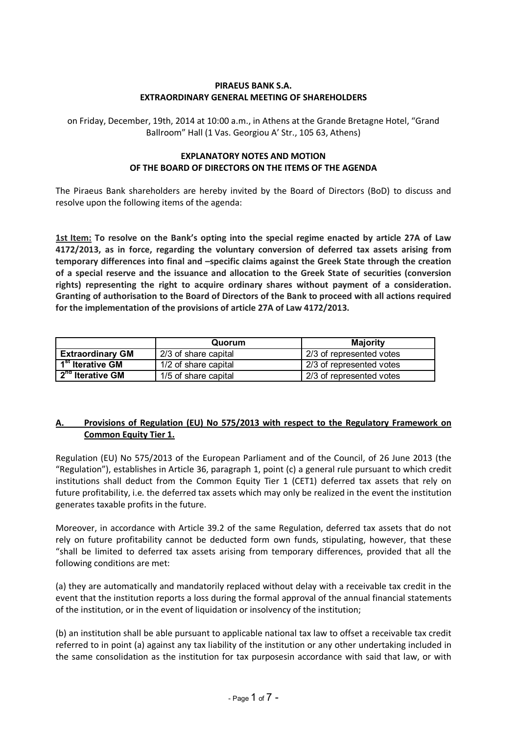#### **PIRAEUS BANK S.A. EXTRAORDINARY GENERAL MEETING OF SHAREHOLDERS**

on Friday, December, 19th, 2014 at 10:00 a.m., in Athens at the Grande Bretagne Hotel, "Grand Ballroom" Hall (1 Vas. Georgiou A' Str., 105 63, Athens)

#### **EXPLANATORY NOTES AND MOTION OF THE BOARD OF DIRECTORS ON THE ITEMS OF THE AGENDA**

The Piraeus Bank shareholders are hereby invited by the Board of Directors (BoD) to discuss and resolve upon the following items of the agenda:

**1st Item: To resolve on the Bank's opting into the special regime enacted by article 27A of Law 4172/2013, as in force, regarding the voluntary conversion of deferred tax assets arising from temporary differences into final and –specific claims against the Greek State through the creation of a special reserve and the issuance and allocation to the Greek State of securities (conversion rights) representing the right to acquire ordinary shares without payment of a consideration. Granting of authorisation to the Board of Directors of the Bank to proceed with all actions required for the implementation of the provisions of article 27A of Law 4172/2013.**

|                                   | <b>Majority</b><br>Quorum |                          |  |
|-----------------------------------|---------------------------|--------------------------|--|
| <b>Extraordinary GM</b>           | 2/3 of share capital      | 2/3 of represented votes |  |
| 1 <sup>st</sup> Iterative GM      | 1/2 of share capital      | 2/3 of represented votes |  |
| $\sqrt{2^{n\alpha}}$ Iterative GM | 1/5 of share capital      | 2/3 of represented votes |  |

# **A. Provisions of Regulation (EU) No 575/2013 with respect to the Regulatory Framework on Common Equity Tier 1.**

Regulation (EU) No 575/2013 of the European Parliament and of the Council, of 26 June 2013 (the "Regulation"), establishes in Article 36, paragraph 1, point (c) a general rule pursuant to which credit institutions shall deduct from the Common Equity Tier 1 (CET1) deferred tax assets that rely on future profitability, i.e. the deferred tax assets which may only be realized in the event the institution generates taxable profits in the future.

Moreover, in accordance with Article 39.2 of the same Regulation, deferred tax assets that do not rely on future profitability cannot be deducted form own funds, stipulating, however, that these "shall be limited to deferred tax assets arising from temporary differences, provided that all the following conditions are met:

(a) they are automatically and mandatorily replaced without delay with a receivable tax credit in the event that the institution reports a loss during the formal approval of the annual financial statements of the institution, or in the event of liquidation or insolvency of the institution;

(b) an institution shall be able pursuant to applicable national tax law to offset a receivable tax credit referred to in point (a) against any tax liability of the institution or any other undertaking included in the same consolidation as the institution for tax purposesin accordance with said that law, or with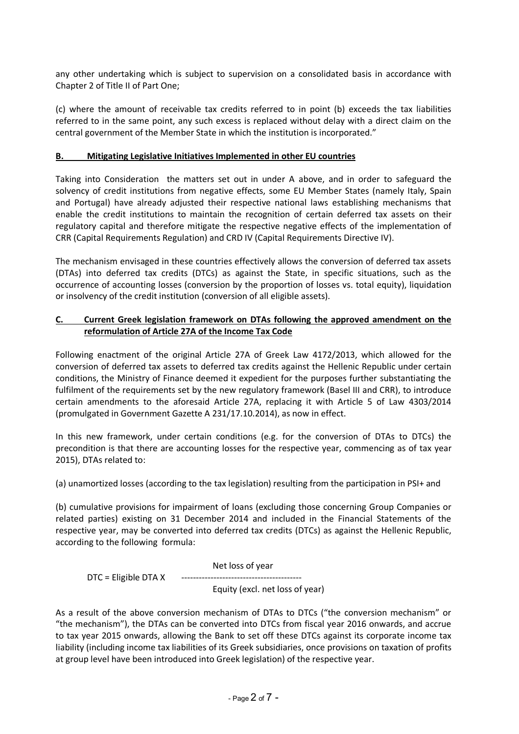any other undertaking which is subject to supervision on a consolidated basis in accordance with Chapter 2 of Title II of Part One;

(c) where the amount of receivable tax credits referred to in point (b) exceeds the tax liabilities referred to in the same point, any such excess is replaced without delay with a direct claim on the central government of the Member State in which the institution is incorporated."

#### **B. Mitigating Legislative Initiatives Implemented in other EU countries**

Taking into Consideration the matters set out in under A above, and in order to safeguard the solvency of credit institutions from negative effects, some EU Member States (namely Italy, Spain and Portugal) have already adjusted their respective national laws establishing mechanisms that enable the credit institutions to maintain the recognition of certain deferred tax assets on their regulatory capital and therefore mitigate the respective negative effects of the implementation of CRR (Capital Requirements Regulation) and CRD IV (Capital Requirements Directive IV).

The mechanism envisaged in these countries effectively allows the conversion of deferred tax assets (DTAs) into deferred tax credits (DTCs) as against the State, in specific situations, such as the occurrence of accounting losses (conversion by the proportion of losses vs. total equity), liquidation or insolvency of the credit institution (conversion of all eligible assets).

# **C. Current Greek legislation framework on DTAs following the approved amendment on the reformulation of Article 27A of the Income Tax Code**

Following enactment of the original Article 27A of Greek Law 4172/2013, which allowed for the conversion of deferred tax assets to deferred tax credits against the Hellenic Republic under certain conditions, the Ministry of Finance deemed it expedient for the purposes further substantiating the fulfilment of the requirements set by the new regulatory framework (Basel III and CRR), to introduce certain amendments to the aforesaid Article 27A, replacing it with Article 5 of Law 4303/2014 (promulgated in Government Gazette Α 231/17.10.2014), as now in effect.

In this new framework, under certain conditions (e.g. for the conversion of DTAs to DTCs) the precondition is that there are accounting losses for the respective year, commencing as of tax year 2015), DTAs related to:

(a) unamortized losses (according to the tax legislation) resulting from the participation in PSI+ and

(b) cumulative provisions for impairment of loans (excluding those concerning Group Companies or related parties) existing on 31 December 2014 and included in the Financial Statements of the respective year, may be converted into deferred tax credits (DTCs) as against the Hellenic Republic, according to the following formula:

Net loss of year

DTC = Eligible DTA Χ

Equity (excl. net loss of year)

As a result of the above conversion mechanism of DTAs to DTCs ("the conversion mechanism" or "the mechanism"), the DTAs can be converted into DTCs from fiscal year 2016 onwards, and accrue to tax year 2015 onwards, allowing the Bank to set off these DTCs against its corporate income tax liability (including income tax liabilities of its Greek subsidiaries, once provisions on taxation of profits at group level have been introduced into Greek legislation) of the respective year.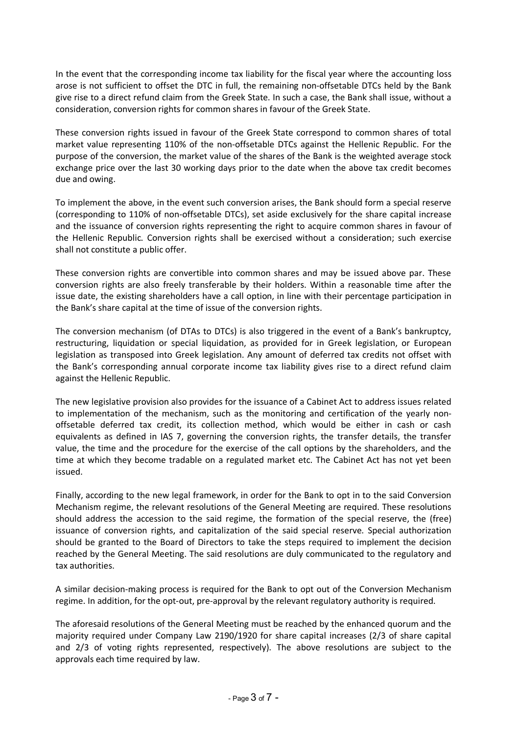In the event that the corresponding income tax liability for the fiscal year where the accounting loss arose is not sufficient to offset the DTC in full, the remaining non-offsetable DTCs held by the Bank give rise to a direct refund claim from the Greek State. In such a case, the Bank shall issue, without a consideration, conversion rights for common shares in favour of the Greek State.

These conversion rights issued in favour of the Greek State correspond to common shares of total market value representing 110% of the non-offsetable DTCs against the Hellenic Republic. For the purpose of the conversion, the market value of the shares of the Bank is the weighted average stock exchange price over the last 30 working days prior to the date when the above tax credit becomes due and owing.

To implement the above, in the event such conversion arises, the Bank should form a special reserve (corresponding to 110% of non-offsetable DTCs), set aside exclusively for the share capital increase and the issuance of conversion rights representing the right to acquire common shares in favour of the Hellenic Republic. Conversion rights shall be exercised without a consideration; such exercise shall not constitute a public offer.

These conversion rights are convertible into common shares and may be issued above par. These conversion rights are also freely transferable by their holders. Within a reasonable time after the issue date, the existing shareholders have a call option, in line with their percentage participation in the Bank's share capital at the time of issue of the conversion rights.

The conversion mechanism (of DTAs to DTCs) is also triggered in the event of a Bank's bankruptcy, restructuring, liquidation or special liquidation, as provided for in Greek legislation, or European legislation as transposed into Greek legislation. Any amount of deferred tax credits not offset with the Bank's corresponding annual corporate income tax liability gives rise to a direct refund claim against the Hellenic Republic.

The new legislative provision also provides for the issuance of a Cabinet Act to address issues related to implementation of the mechanism, such as the monitoring and certification of the yearly nonoffsetable deferred tax credit, its collection method, which would be either in cash or cash equivalents as defined in IAS 7, governing the conversion rights, the transfer details, the transfer value, the time and the procedure for the exercise of the call options by the shareholders, and the time at which they become tradable on a regulated market etc. The Cabinet Act has not yet been issued.

Finally, according to the new legal framework, in order for the Bank to opt in to the said Conversion Mechanism regime, the relevant resolutions of the General Meeting are required. These resolutions should address the accession to the said regime, the formation of the special reserve, the (free) issuance of conversion rights, and capitalization of the said special reserve. Special authorization should be granted to the Board of Directors to take the steps required to implement the decision reached by the General Meeting. The said resolutions are duly communicated to the regulatory and tax authorities.

A similar decision-making process is required for the Bank to opt out of the Conversion Mechanism regime. In addition, for the opt-out, pre-approval by the relevant regulatory authority is required.

The aforesaid resolutions of the General Meeting must be reached by the enhanced quorum and the majority required under Company Law 2190/1920 for share capital increases (2/3 of share capital and 2/3 of voting rights represented, respectively). The above resolutions are subject to the approvals each time required by law.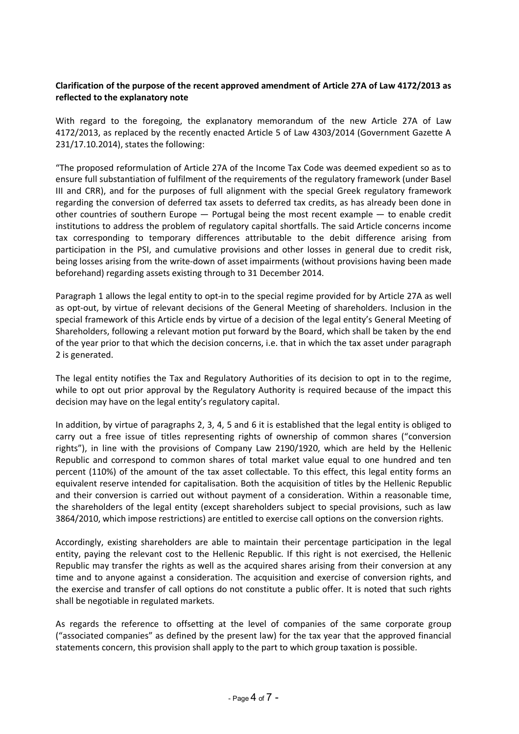# **Clarification of the purpose of the recent approved amendment of Article 27A of Law 4172/2013 as reflected to the explanatory note**

With regard to the foregoing, the explanatory memorandum of the new Article 27Α of Law 4172/2013, as replaced by the recently enacted Article 5 of Law 4303/2014 (Government Gazette Α 231/17.10.2014), states the following:

"The proposed reformulation of Article 27Α of the Income Tax Code was deemed expedient so as to ensure full substantiation of fulfilment of the requirements of the regulatory framework (under Basel III and CRR), and for the purposes of full alignment with the special Greek regulatory framework regarding the conversion of deferred tax assets to deferred tax credits, as has already been done in other countries of southern Europe — Portugal being the most recent example — to enable credit institutions to address the problem of regulatory capital shortfalls. The said Article concerns income tax corresponding to temporary differences attributable to the debit difference arising from participation in the PSI, and cumulative provisions and other losses in general due to credit risk, being losses arising from the write-down of asset impairments (without provisions having been made beforehand) regarding assets existing through to 31 December 2014.

Paragraph 1 allows the legal entity to opt-in to the special regime provided for by Article 27Α as well as opt-out, by virtue of relevant decisions of the General Meeting of shareholders. Inclusion in the special framework of this Article ends by virtue of a decision of the legal entity's General Meeting of Shareholders, following a relevant motion put forward by the Board, which shall be taken by the end of the year prior to that which the decision concerns, i.e. that in which the tax asset under paragraph 2 is generated.

The legal entity notifies the Tax and Regulatory Authorities of its decision to opt in to the regime, while to opt out prior approval by the Regulatory Authority is required because of the impact this decision may have on the legal entity's regulatory capital.

In addition, by virtue of paragraphs 2, 3, 4, 5 and 6 it is established that the legal entity is obliged to carry out a free issue of titles representing rights of ownership of common shares ("conversion rights"), in line with the provisions of Company Law 2190/1920, which are held by the Hellenic Republic and correspond to common shares of total market value equal to one hundred and ten percent (110%) of the amount of the tax asset collectable. To this effect, this legal entity forms an equivalent reserve intended for capitalisation. Both the acquisition of titles by the Hellenic Republic and their conversion is carried out without payment of a consideration. Within a reasonable time, the shareholders of the legal entity (except shareholders subject to special provisions, such as law 3864/2010, which impose restrictions) are entitled to exercise call options on the conversion rights.

Accordingly, existing shareholders are able to maintain their percentage participation in the legal entity, paying the relevant cost to the Hellenic Republic. If this right is not exercised, the Hellenic Republic may transfer the rights as well as the acquired shares arising from their conversion at any time and to anyone against a consideration. The acquisition and exercise of conversion rights, and the exercise and transfer of call options do not constitute a public offer. It is noted that such rights shall be negotiable in regulated markets.

As regards the reference to offsetting at the level of companies of the same corporate group ("associated companies" as defined by the present law) for the tax year that the approved financial statements concern, this provision shall apply to the part to which group taxation is possible.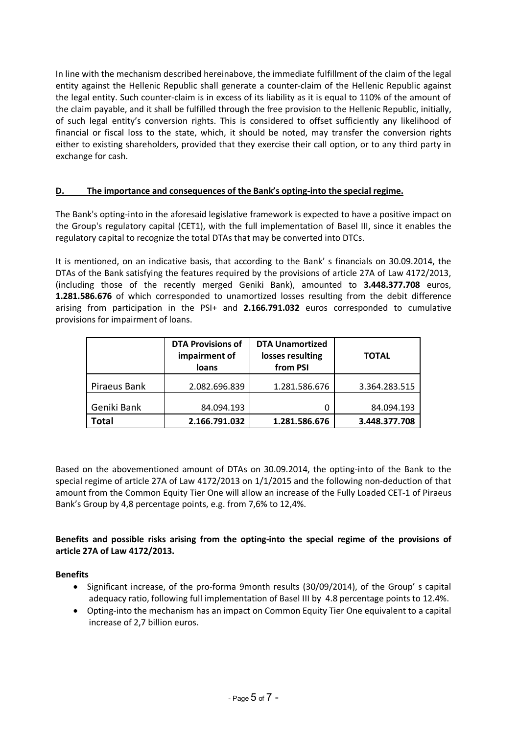In line with the mechanism described hereinabove, the immediate fulfillment of the claim of the legal entity against the Hellenic Republic shall generate a counter-claim of the Hellenic Republic against the legal entity. Such counter-claim is in excess of its liability as it is equal to 110% of the amount of the claim payable, and it shall be fulfilled through the free provision to the Hellenic Republic, initially, of such legal entity's conversion rights. This is considered to offset sufficiently any likelihood of financial or fiscal loss to the state, which, it should be noted, may transfer the conversion rights either to existing shareholders, provided that they exercise their call option, or to any third party in exchange for cash.

# **D. The importance and consequences of the Bank's opting-into the special regime.**

The Bank's opting-into in the aforesaid legislative framework is expected to have a positive impact on the Group's regulatory capital (CET1), with the full implementation of Basel III, since it enables the regulatory capital to recognize the total DTAs that may be converted into DTCs.

It is mentioned, on an indicative basis, that according to the Bank' s financials on 30.09.2014, the DTAs of the Bank satisfying the features required by the provisions of article 27A of Law 4172/2013, (including those of the recently merged Geniki Bank), amounted to **3.448.377.708** euros, **1.281.586.676** of which corresponded to unamortized losses resulting from the debit difference arising from participation in the PSI+ and **2.166.791.032** euros corresponded to cumulative provisions for impairment of loans.

|              | <b>DTA Provisions of</b><br>impairment of<br>loans | <b>DTA Unamortized</b><br>losses resulting<br>from PSI | <b>TOTAL</b>  |
|--------------|----------------------------------------------------|--------------------------------------------------------|---------------|
| Piraeus Bank | 2.082.696.839                                      | 1.281.586.676                                          | 3.364.283.515 |
| Geniki Bank  | 84.094.193                                         | 0                                                      | 84.094.193    |
| <b>Total</b> | 2.166.791.032                                      | 1.281.586.676                                          | 3.448.377.708 |

Based on the abovementioned amount of DTAs on 30.09.2014, the opting-into of the Bank to the special regime of article 27A of Law 4172/2013 on 1/1/2015 and the following non-deduction of that amount from the Common Equity Tier One will allow an increase of the Fully Loaded CET-1 of Piraeus Bank's Group by 4,8 percentage points, e.g. from 7,6% to 12,4%.

**Benefits and possible risks arising from the opting-into the special regime of the provisions of article 27A of Law 4172/2013.**

# **Benefits**

- Significant increase, of the pro-forma 9month results (30/09/2014), of the Group' s capital adequacy ratio, following full implementation of Basel III by 4.8 percentage points to 12.4%.
- Opting-into the mechanism has an impact on Common Equity Tier One equivalent to a capital increase of 2,7 billion euros.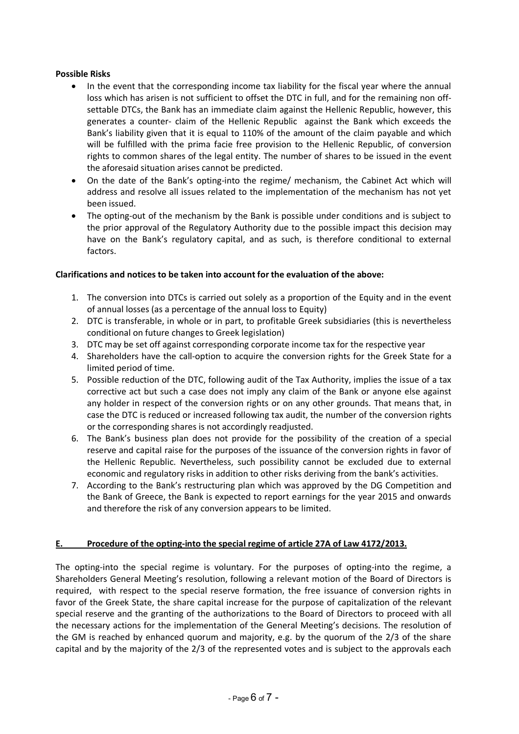#### **Possible Risks**

- In the event that the corresponding income tax liability for the fiscal year where the annual loss which has arisen is not sufficient to offset the DTC in full, and for the remaining non offsettable DTCs, the Bank has an immediate claim against the Hellenic Republic, however, this generates a counter- claim of the Hellenic Republic against the Bank which exceeds the Bank's liability given that it is equal to 110% of the amount of the claim payable and which will be fulfilled with the prima facie free provision to the Hellenic Republic, of conversion rights to common shares of the legal entity. The number of shares to be issued in the event the aforesaid situation arises cannot be predicted.
- On the date of the Bank's opting-into the regime/ mechanism, the Cabinet Act which will address and resolve all issues related to the implementation of the mechanism has not yet been issued.
- The opting-out of the mechanism by the Bank is possible under conditions and is subject to the prior approval of the Regulatory Authority due to the possible impact this decision may have on the Bank's regulatory capital, and as such, is therefore conditional to external factors.

#### **Clarifications and notices to be taken into account for the evaluation of the above:**

- 1. The conversion into DTCs is carried out solely as a proportion of the Equity and in the event of annual losses (as a percentage of the annual loss to Equity)
- 2. DTC is transferable, in whole or in part, to profitable Greek subsidiaries (this is nevertheless conditional on future changes to Greek legislation)
- 3. DTC may be set off against corresponding corporate income tax for the respective year
- 4. Shareholders have the call-option to acquire the conversion rights for the Greek State for a limited period of time.
- 5. Possible reduction of the DTC, following audit of the Tax Authority, implies the issue of a tax corrective act but such a case does not imply any claim of the Bank or anyone else against any holder in respect of the conversion rights or on any other grounds. That means that, in case the DTC is reduced or increased following tax audit, the number of the conversion rights or the corresponding shares is not accordingly readjusted.
- 6. The Bank's business plan does not provide for the possibility of the creation of a special reserve and capital raise for the purposes of the issuance of the conversion rights in favor of the Hellenic Republic. Nevertheless, such possibility cannot be excluded due to external economic and regulatory risks in addition to other risks deriving from the bank's activities.
- 7. According to the Bank's restructuring plan which was approved by the DG Competition and the Bank of Greece, the Bank is expected to report earnings for the year 2015 and onwards and therefore the risk of any conversion appears to be limited.

# **E. Procedure of the opting-into the special regime of article 27A of Law 4172/2013.**

The opting-into the special regime is voluntary. For the purposes of opting-into the regime, a Shareholders General Meeting's resolution, following a relevant motion of the Board of Directors is required, with respect to the special reserve formation, the free issuance of conversion rights in favor of the Greek State, the share capital increase for the purpose of capitalization of the relevant special reserve and the granting of the authorizations to the Board of Directors to proceed with all the necessary actions for the implementation of the General Meeting's decisions. The resolution of the GM is reached by enhanced quorum and majority, e.g. by the quorum of the 2/3 of the share capital and by the majority of the 2/3 of the represented votes and is subject to the approvals each